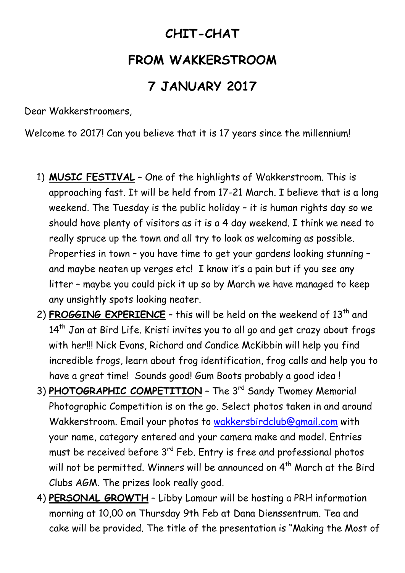## **CHIT-CHAT**

## **FROM WAKKERSTROOM**

## **7 JANUARY 2017**

Dear Wakkerstroomers,

Welcome to 2017! Can you believe that it is 17 years since the millennium!

- 1) **MUSIC FESTIVAL** One of the highlights of Wakkerstroom. This is approaching fast. It will be held from 17-21 March. I believe that is a long weekend. The Tuesday is the public holiday – it is human rights day so we should have plenty of visitors as it is a 4 day weekend. I think we need to really spruce up the town and all try to look as welcoming as possible. Properties in town – you have time to get your gardens looking stunning – and maybe neaten up verges etc! I know it's a pain but if you see any litter – maybe you could pick it up so by March we have managed to keep any unsightly spots looking neater.
- 2) **FROGGING EXPERIENCE** this will be held on the weekend of 13<sup>th</sup> and 14<sup>th</sup> Jan at Bird Life. Kristi invites you to all go and get crazy about frogs with her!!! Nick Evans, Richard and Candice McKibbin will help you find incredible frogs, learn about frog identification, frog calls and help you to have a great time! Sounds good! Gum Boots probably a good idea !
- 3) **PHOTOGRAPHIC COMPETITION** The 3<sup>rd</sup> Sandy Twomey Memorial Photographic Competition is on the go. Select photos taken in and around Wakkerstroom. Email your photos to [wakkersbirdclub@gmail.com](mailto:wakkersbirdclub@gmail.com) with your name, category entered and your camera make and model. Entries must be received before 3<sup>rd</sup> Feb. Entry is free and professional photos will not be permitted. Winners will be announced on 4<sup>th</sup> March at the Bird Clubs AGM. The prizes look really good.
- 4) **PERSONAL GROWTH** Libby Lamour will be hosting a PRH information morning at 10,00 on Thursday 9th Feb at Dana Dienssentrum. Tea and cake will be provided. The title of the presentation is "Making the Most of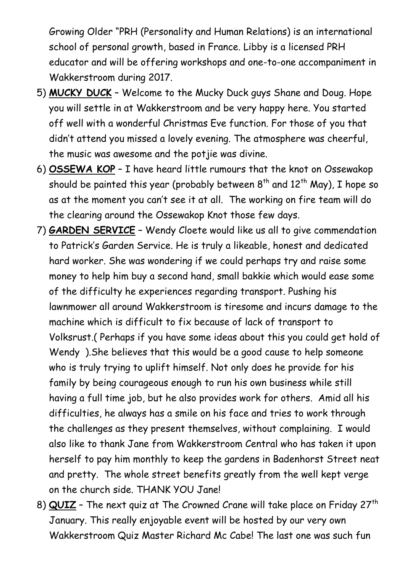Growing Older "PRH (Personality and Human Relations) is an international school of personal growth, based in France. Libby is a licensed PRH educator and will be offering workshops and one-to-one accompaniment in Wakkerstroom during 2017.

- 5) **MUCKY DUCK** Welcome to the Mucky Duck guys Shane and Doug. Hope you will settle in at Wakkerstroom and be very happy here. You started off well with a wonderful Christmas Eve function. For those of you that didn't attend you missed a lovely evening. The atmosphere was cheerful, the music was awesome and the potjie was divine.
- 6) **OSSEWA KOP** I have heard little rumours that the knot on Ossewakop should be painted this year (probably between  $8^{th}$  and  $12^{th}$  May), I hope so as at the moment you can't see it at all. The working on fire team will do the clearing around the Ossewakop Knot those few days.
- 7) **GARDEN SERVICE** Wendy Cloete would like us all to give commendation to Patrick's Garden Service. He is truly a likeable, honest and dedicated hard worker. She was wondering if we could perhaps try and raise some money to help him buy a second hand, small bakkie which would ease some of the difficulty he experiences regarding transport. Pushing his lawnmower all around Wakkerstroom is tiresome and incurs damage to the machine which is difficult to fix because of lack of transport to Volksrust.( Perhaps if you have some ideas about this you could get hold of Wendy ).She believes that this would be a good cause to help someone who is truly trying to uplift himself. Not only does he provide for his family by being courageous enough to run his own business while still having a full time job, but he also provides work for others. Amid all his difficulties, he always has a smile on his face and tries to work through the challenges as they present themselves, without complaining. I would also like to thank Jane from Wakkerstroom Central who has taken it upon herself to pay him monthly to keep the gardens in Badenhorst Street neat and pretty. The whole street benefits greatly from the well kept verge on the church side. THANK YOU Jane!
- 8) **QUIZ** The next quiz at The Crowned Crane will take place on Friday 27<sup>th</sup> January. This really enjoyable event will be hosted by our very own Wakkerstroom Quiz Master Richard Mc Cabe! The last one was such fun